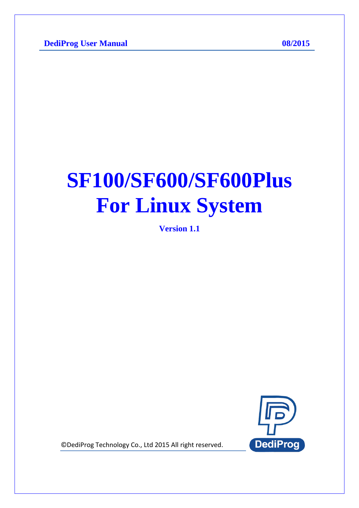# **SF100/SF600/SF600Plus For Linux System**

**Version 1.1**



© DediProg Technology Co., Ltd 2015 All right reserved.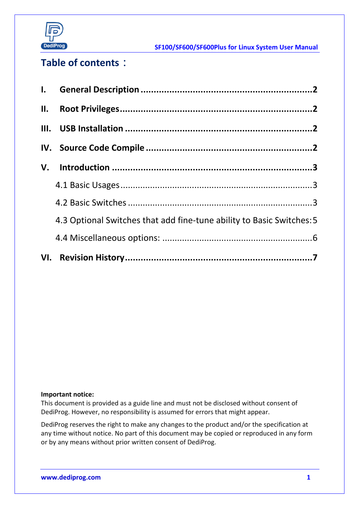

**SF100/SF600/SF600Plus for Linux System User Manual**

### **Table of contents**:

| 4.3 Optional Switches that add fine-tune ability to Basic Switches: 5 |  |
|-----------------------------------------------------------------------|--|
|                                                                       |  |
|                                                                       |  |

#### **Important notice:**

This document is provided as a guide line and must not be disclosed without consent of DediProg. However, no responsibility is assumed for errors that might appear.

DediProg reserves the right to make any changes to the product and/or the specification at any time without notice. No part of this document may be copied or reproduced in any form or by any means without prior written consent of DediProg.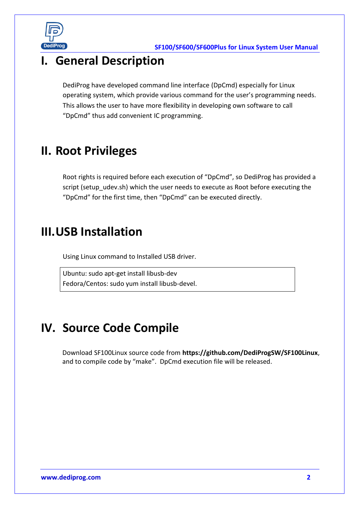

# <span id="page-2-0"></span>**I. General Description**

DediProg have developed command line interface (DpCmd) especially for Linux operating system, which provide various command for the user's programming needs. This allows the user to have more flexibility in developing own software to call "DpCmd" thus add convenient IC programming.

# <span id="page-2-1"></span>**II. Root Privileges**

Root rights is required before each execution of "DpCmd", so DediProg has provided a script (setup udev.sh) which the user needs to execute as Root before executing the "DpCmd" for the first time, then "DpCmd" can be executed directly.

### <span id="page-2-2"></span>**III.USB Installation**

Using Linux command to Installed USB driver.

Ubuntu: sudo apt-get install libusb-dev Fedora/Centos: sudo yum install libusb-devel.

# <span id="page-2-3"></span>**IV. Source Code Compile**

Download SF100Linux source code from **<https://github.com/DediProgSW/SF100Linux>**, and to compile code by "make". DpCmd execution file will be released.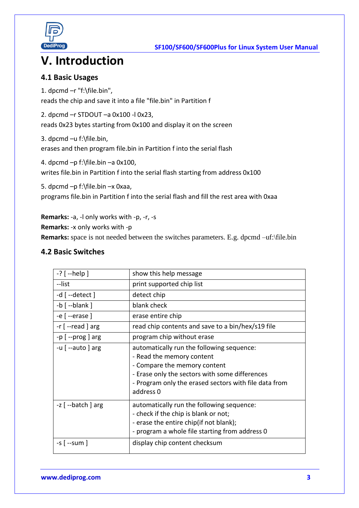

# <span id="page-3-0"></span>**V. Introduction**

#### <span id="page-3-1"></span>**4.1 Basic Usages**

1. dpcmd –r "f:\file.bin", reads the chip and save it into a file "file.bin" in Partition f

2. dpcmd –r STDOUT –a 0x100 -l 0x23, reads 0x23 bytes starting from 0x100 and display it on the screen

3. dpcmd –u f:\file.bin,

erases and then program file.bin in Partition f into the serial flash

4. dpcmd –p f:\file.bin –a 0x100,

writes file.bin in Partition f into the serial flash starting from address 0x100

5. dpcmd –p f:\file.bin –x 0xaa,

programs file.bin in Partition f into the serial flash and fill the rest area with 0xaa

**Remarks:** -a, -l only works with -p, -r, -s

**Remarks:** -x only works with -p

**Remarks:** space is not needed between the switches parameters. E.g. dpcmd -uf:\file.bin

#### <span id="page-3-2"></span>**4.2 Basic Switches**

| $-?$ [ $-$ help ]                  | show this help message                                                                                                                                                                                                         |
|------------------------------------|--------------------------------------------------------------------------------------------------------------------------------------------------------------------------------------------------------------------------------|
| --list                             | print supported chip list                                                                                                                                                                                                      |
| $-d$ $[-\text{detect}]$            | detect chip                                                                                                                                                                                                                    |
| $-b$ $[-$ blank]                   | blank check                                                                                                                                                                                                                    |
| $-e$ [ --erase ]                   | erase entire chip                                                                                                                                                                                                              |
| $-r$ $[-read]$ arg                 | read chip contents and save to a bin/hex/s19 file                                                                                                                                                                              |
| $-p$ $[-prog]$ arg                 | program chip without erase                                                                                                                                                                                                     |
| $-u$ $\left[ -a$ uto $\right]$ arg | automatically run the following sequence:<br>- Read the memory content<br>- Compare the memory content<br>- Erase only the sectors with some differences<br>- Program only the erased sectors with file data from<br>address 0 |
| -z [ --batch ] arg                 | automatically run the following sequence:<br>- check if the chip is blank or not;<br>- erase the entire chip(if not blank);<br>- program a whole file starting from address 0                                                  |
| -s [ --sum ]                       | display chip content checksum                                                                                                                                                                                                  |

**[www.dediprog.com](http://www.dediprog.com/) 3**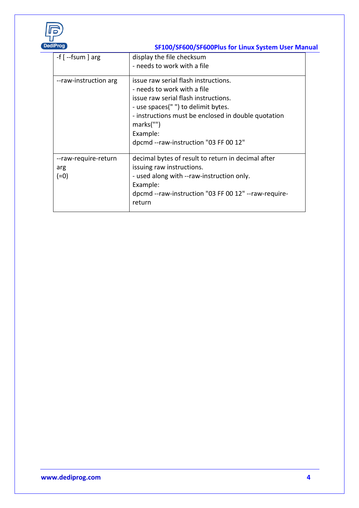

### **DediProg SF100/SF600/SF600Plus for Linux System User Manual**

| $-f$ $\left[-\frac{1}{2}f\right]$ arg | display the file checksum<br>- needs to work with a file                                                                                                                                                                                                                    |
|---------------------------------------|-----------------------------------------------------------------------------------------------------------------------------------------------------------------------------------------------------------------------------------------------------------------------------|
| --raw-instruction arg                 | issue raw serial flash instructions.<br>- needs to work with a file<br>issue raw serial flash instructions.<br>- use spaces(" ") to delimit bytes.<br>- instructions must be enclosed in double quotation<br>marks("")<br>Example:<br>dpcmd --raw-instruction "03 FF 00 12" |
| --raw-require-return<br>arg<br>$(=0)$ | decimal bytes of result to return in decimal after<br>issuing raw instructions.<br>- used along with --raw-instruction only.<br>Example:<br>dpcmd --raw-instruction "03 FF 00 12" --raw-require-<br>return                                                                  |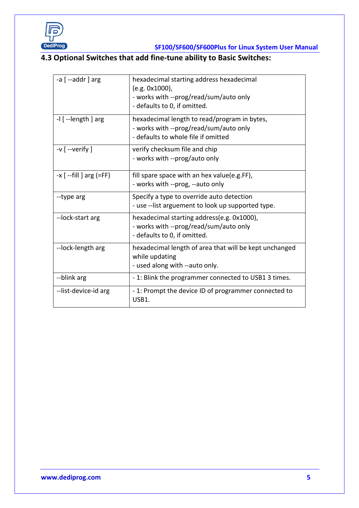

### **SF100/SF600/SF600Plus for Linux System User Manual**

### <span id="page-5-0"></span>**4.3 Optional Switches that add fine-tune ability to Basic Switches:**

| $-a$ $\lceil -a$ ddr $\rceil$ arg | hexadecimal starting address hexadecimal<br>(e.g. 0x1000),<br>- works with --prog/read/sum/auto only<br>- defaults to 0, if omitted. |
|-----------------------------------|--------------------------------------------------------------------------------------------------------------------------------------|
| $-1$ $[-length]$ arg              | hexadecimal length to read/program in bytes,<br>- works with --prog/read/sum/auto only<br>- defaults to whole file if omitted        |
| $-v$ [ --verify ]                 | verify checksum file and chip<br>- works with --prog/auto only                                                                       |
| $-x$ [ --fill ] arg (=FF)         | fill spare space with an hex value(e.g.FF),<br>- works with --prog, --auto only                                                      |
| --type arg                        | Specify a type to override auto detection<br>- use --list arguement to look up supported type.                                       |
| --lock-start arg                  | hexadecimal starting address(e.g. 0x1000),<br>- works with --prog/read/sum/auto only<br>- defaults to 0, if omitted.                 |
| --lock-length arg                 | hexadecimal length of area that will be kept unchanged<br>while updating<br>- used along with --auto only.                           |
| --blink arg                       | - 1: Blink the programmer connected to USB1 3 times.                                                                                 |
| --list-device-id arg              | -1: Prompt the device ID of programmer connected to<br>USB1.                                                                         |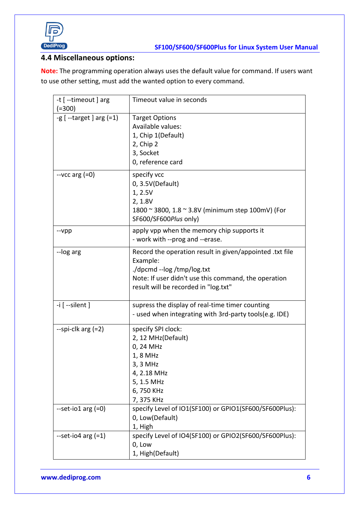

### <span id="page-6-0"></span>**4.4 Miscellaneous options:**

**Note:** The programming operation always uses the default value for command. If users want to use other setting, must add the wanted option to every command.

| -t [ --timeout ] arg<br>$(=300)$ | Timeout value in seconds                                                                                                                                                                           |
|----------------------------------|----------------------------------------------------------------------------------------------------------------------------------------------------------------------------------------------------|
| $-g$ $[-t$ arget $]$ arg $(=1)$  | <b>Target Options</b><br>Available values:<br>1, Chip 1(Default)<br>2, Chip 2<br>3, Socket<br>0, reference card                                                                                    |
| $-$ vcc arg $(=0)$               | specify vcc<br>0, 3.5V(Default)<br>1, 2.5V<br>2, 1.8V<br>1800 ~ 3800, 1.8 ~ 3.8V (minimum step 100mV) (For<br>SF600/SF600Plus only)                                                                |
| $-vpp$                           | apply vpp when the memory chip supports it<br>- work with --prog and --erase.                                                                                                                      |
| --log arg                        | Record the operation result in given/appointed .txt file<br>Example:<br>./dpcmd --log /tmp/log.txt<br>Note: If user didn't use this command, the operation<br>result will be recorded in "log.txt" |
| $-i$ [ $-$ silent ]              | supress the display of real-time timer counting<br>- used when integrating with 3rd-party tools(e.g. IDE)                                                                                          |
| $-$ spi-clk arg $(=2)$           | specify SPI clock:<br>2, 12 MHz(Default)<br>0, 24 MHz<br>1, 8 MHz<br>3, 3 MHz<br>4, 2.18 MHz<br>5, 1.5 MHz<br>6,750 KHz<br>7,375 KHz                                                               |
| $-set$ -io1 arg $(=0)$           | specify Level of IO1(SF100) or GPIO1(SF600/SF600Plus):<br>0, Low(Default)<br>1, High                                                                                                               |
| $-set-io4$ arg $(=1)$            | specify Level of IO4(SF100) or GPIO2(SF600/SF600Plus):<br>0, Low<br>1, High(Default)                                                                                                               |